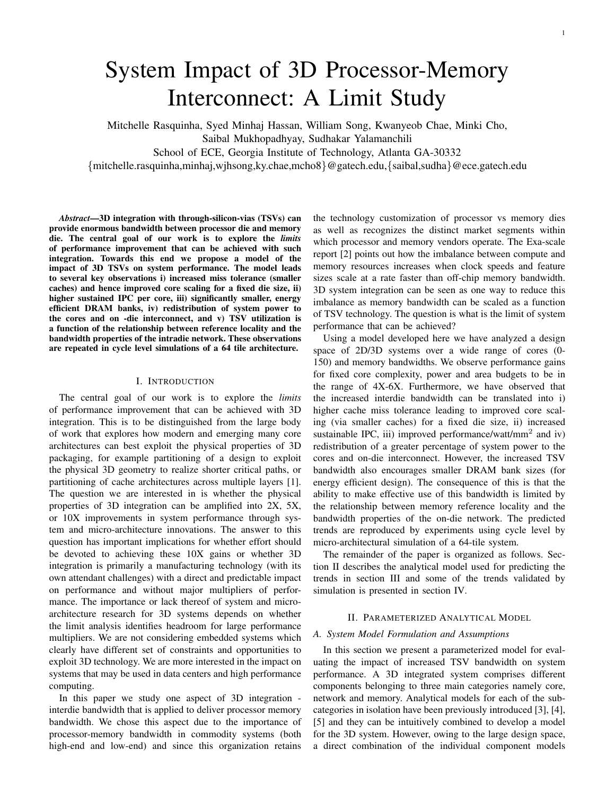# System Impact of 3D Processor-Memory Interconnect: A Limit Study

Mitchelle Rasquinha, Syed Minhaj Hassan, William Song, Kwanyeob Chae, Minki Cho,

Saibal Mukhopadhyay, Sudhakar Yalamanchili

School of ECE, Georgia Institute of Technology, Atlanta GA-30332

{mitchelle.rasquinha,minhaj,wjhsong,ky.chae,mcho8}@gatech.edu,{saibal,sudha}@ece.gatech.edu

*Abstract*—3D integration with through-silicon-vias (TSVs) can provide enormous bandwidth between processor die and memory die. The central goal of our work is to explore the *limits* of performance improvement that can be achieved with such integration. Towards this end we propose a model of the impact of 3D TSVs on system performance. The model leads to several key observations i) increased miss tolerance (smaller caches) and hence improved core scaling for a fixed die size, ii) higher sustained IPC per core, iii) significantly smaller, energy efficient DRAM banks, iv) redistribution of system power to the cores and on -die interconnect, and v) TSV utilization is a function of the relationship between reference locality and the bandwidth properties of the intradie network. These observations are repeated in cycle level simulations of a 64 tile architecture.

## I. INTRODUCTION

The central goal of our work is to explore the *limits* of performance improvement that can be achieved with 3D integration. This is to be distinguished from the large body of work that explores how modern and emerging many core architectures can best exploit the physical properties of 3D packaging, for example partitioning of a design to exploit the physical 3D geometry to realize shorter critical paths, or partitioning of cache architectures across multiple layers [1]. The question we are interested in is whether the physical properties of 3D integration can be amplified into 2X, 5X, or 10X improvements in system performance through system and micro-architecture innovations. The answer to this question has important implications for whether effort should be devoted to achieving these 10X gains or whether 3D integration is primarily a manufacturing technology (with its own attendant challenges) with a direct and predictable impact on performance and without major multipliers of performance. The importance or lack thereof of system and microarchitecture research for 3D systems depends on whether the limit analysis identifies headroom for large performance multipliers. We are not considering embedded systems which clearly have different set of constraints and opportunities to exploit 3D technology. We are more interested in the impact on systems that may be used in data centers and high performance computing.

In this paper we study one aspect of 3D integration interdie bandwidth that is applied to deliver processor memory bandwidth. We chose this aspect due to the importance of processor-memory bandwidth in commodity systems (both high-end and low-end) and since this organization retains

the technology customization of processor vs memory dies as well as recognizes the distinct market segments within which processor and memory vendors operate. The Exa-scale report [2] points out how the imbalance between compute and memory resources increases when clock speeds and feature sizes scale at a rate faster than off-chip memory bandwidth. 3D system integration can be seen as one way to reduce this imbalance as memory bandwidth can be scaled as a function of TSV technology. The question is what is the limit of system performance that can be achieved?

Using a model developed here we have analyzed a design space of 2D/3D systems over a wide range of cores (0- 150) and memory bandwidths. We observe performance gains for fixed core complexity, power and area budgets to be in the range of 4X-6X. Furthermore, we have observed that the increased interdie bandwidth can be translated into i) higher cache miss tolerance leading to improved core scaling (via smaller caches) for a fixed die size, ii) increased sustainable IPC, iii) improved performance/watt/mm<sup>2</sup> and iv) redistribution of a greater percentage of system power to the cores and on-die interconnect. However, the increased TSV bandwidth also encourages smaller DRAM bank sizes (for energy efficient design). The consequence of this is that the ability to make effective use of this bandwidth is limited by the relationship between memory reference locality and the bandwidth properties of the on-die network. The predicted trends are reproduced by experiments using cycle level by micro-architectural simulation of a 64-tile system.

The remainder of the paper is organized as follows. Section II describes the analytical model used for predicting the trends in section III and some of the trends validated by simulation is presented in section IV.

# II. PARAMETERIZED ANALYTICAL MODEL

# *A. System Model Formulation and Assumptions*

In this section we present a parameterized model for evaluating the impact of increased TSV bandwidth on system performance. A 3D integrated system comprises different components belonging to three main categories namely core, network and memory. Analytical models for each of the subcategories in isolation have been previously introduced [3], [4], [5] and they can be intuitively combined to develop a model for the 3D system. However, owing to the large design space, a direct combination of the individual component models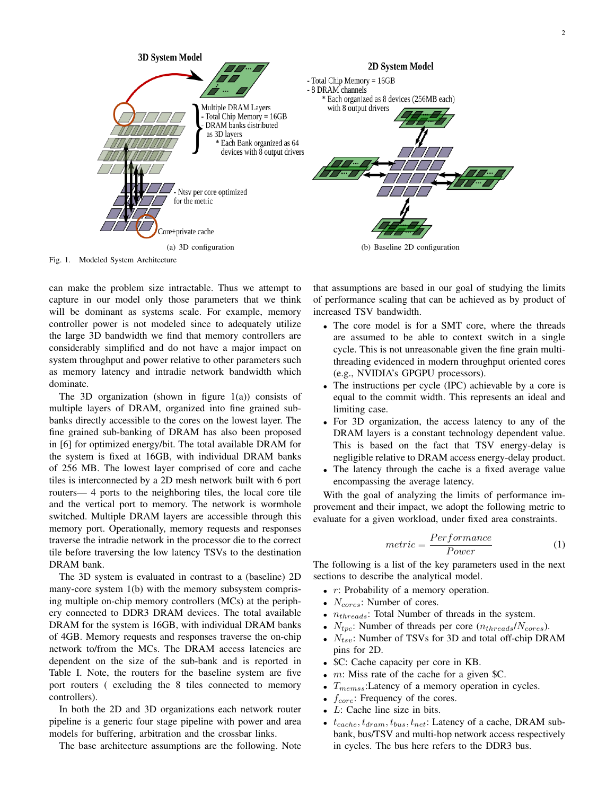

Fig. 1. Modeled System Architecture

can make the problem size intractable. Thus we attempt to capture in our model only those parameters that we think will be dominant as systems scale. For example, memory controller power is not modeled since to adequately utilize the large 3D bandwidth we find that memory controllers are considerably simplified and do not have a major impact on system throughput and power relative to other parameters such as memory latency and intradie network bandwidth which dominate.

The 3D organization (shown in figure  $1(a)$ ) consists of multiple layers of DRAM, organized into fine grained subbanks directly accessible to the cores on the lowest layer. The fine grained sub-banking of DRAM has also been proposed in [6] for optimized energy/bit. The total available DRAM for the system is fixed at 16GB, with individual DRAM banks of 256 MB. The lowest layer comprised of core and cache tiles is interconnected by a 2D mesh network built with 6 port routers— 4 ports to the neighboring tiles, the local core tile and the vertical port to memory. The network is wormhole switched. Multiple DRAM layers are accessible through this memory port. Operationally, memory requests and responses traverse the intradie network in the processor die to the correct tile before traversing the low latency TSVs to the destination DRAM bank.

The 3D system is evaluated in contrast to a (baseline) 2D many-core system 1(b) with the memory subsystem comprising multiple on-chip memory controllers (MCs) at the periphery connected to DDR3 DRAM devices. The total available DRAM for the system is 16GB, with individual DRAM banks of 4GB. Memory requests and responses traverse the on-chip network to/from the MCs. The DRAM access latencies are dependent on the size of the sub-bank and is reported in Table I. Note, the routers for the baseline system are five port routers ( excluding the 8 tiles connected to memory controllers).

In both the 2D and 3D organizations each network router pipeline is a generic four stage pipeline with power and area models for buffering, arbitration and the crossbar links.

The base architecture assumptions are the following. Note

that assumptions are based in our goal of studying the limits of performance scaling that can be achieved as by product of increased TSV bandwidth.

- The core model is for a SMT core, where the threads are assumed to be able to context switch in a single cycle. This is not unreasonable given the fine grain multithreading evidenced in modern throughput oriented cores (e.g., NVIDIA's GPGPU processors).
- The instructions per cycle (IPC) achievable by a core is equal to the commit width. This represents an ideal and limiting case.
- For 3D organization, the access latency to any of the DRAM layers is a constant technology dependent value. This is based on the fact that TSV energy-delay is negligible relative to DRAM access energy-delay product.
- The latency through the cache is a fixed average value encompassing the average latency.

With the goal of analyzing the limits of performance improvement and their impact, we adopt the following metric to evaluate for a given workload, under fixed area constraints.

$$
metric = \frac{Performance}{Power}
$$
 (1)

The following is a list of the key parameters used in the next sections to describe the analytical model.

- *r*: Probability of a memory operation.
- $N_{cores}$ : Number of cores.
- $n_{threads}$ : Total Number of threads in the system.
- $N_{tpc}$ : Number of threads per core  $(n_{threads}/N_{cores})$ .
- $N_{tsv}$ : Number of TSVs for 3D and total off-chip DRAM pins for 2D.
- \$C: Cache capacity per core in KB.
- m: Miss rate of the cache for a given \$C.
- $T_{\text{memss}}$ : Latency of a memory operation in cycles.
- $f_{core}$ : Frequency of the cores.
- $L$ : Cache line size in bits.
- $t_{cache}, t_{draw}, t_{bus}, t_{net}$ : Latency of a cache, DRAM subbank, bus/TSV and multi-hop network access respectively in cycles. The bus here refers to the DDR3 bus.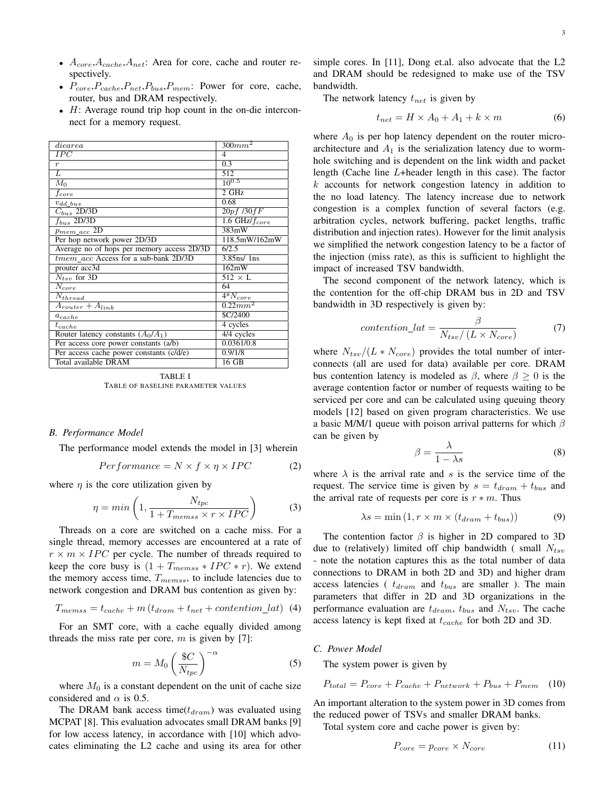- $A_{core}, A_{cache}, A_{net}$ : Area for core, cache and router respectively.
- $P_{core}, P_{cache}, P_{net}, P_{bus}, P_{mem}$ : Power for core, cache, router, bus and DRAM respectively.
- H: Average round trip hop count in the on-die interconnect for a memory request.

| diearea                                    | 300mm <sup>2</sup>      |
|--------------------------------------------|-------------------------|
| $\overline{IPC}$                           | $\overline{4}$          |
| $\boldsymbol{r}$                           | 0.3                     |
| L                                          | 512                     |
| $M_0$                                      | $10^{0.5}$              |
| fcore                                      | 2 GHz                   |
| $v_{dd\_bus}$                              | 0.68                    |
| $C_{bus}$ 2D/3D                            | 20pf/30fF               |
| $f_{bus}$ 2D/3D                            | 1.6 GHz/ $f_{core}$     |
| $p_{mem\_acc}$ 2D                          | 383mW                   |
| Per hop network power 2D/3D                | 118.5mW/162mW           |
| Average no of hops per memory access 2D/3D | 6/2.5                   |
| tmem_acc Access for a sub-bank 2D/3D       | $3.85$ ns/ $1$ ns       |
| prouter acc3d                              | 162mW                   |
| $N_{tsv}$ for 3D                           | $512 \times L$          |
| $N_{core}$                                 | 64                      |
| $N_{thread}$                               | $\overline{4*N_{core}}$ |
| $A_{route} + A_{link}$                     | $0.22mm^2$              |
| $a_{cache}$                                | <b>\$C/2400</b>         |
| $t_{cache}$                                | 4 cycles                |
| Router latency constants $(A_0/A_1)$       | $4/4$ cycles            |
| Per access core power constants (a/b)      | 0.0361/0.8              |
| Per access cache power constants (c/d/e)   | 0.9/1/8                 |
| Total available DRAM                       | 16 GB                   |
|                                            |                         |

TABLE I TABLE OF BASELINE PARAMETER VALUES

#### *B. Performance Model*

The performance model extends the model in [3] wherein

$$
Performance = N \times f \times \eta \times IPC
$$
 (2)

where  $\eta$  is the core utilization given by

$$
\eta = \min\left(1, \frac{N_{tpc}}{1 + T_{members} \times r \times IPC}\right) \tag{3}
$$

Threads on a core are switched on a cache miss. For a single thread, memory accesses are encountered at a rate of  $r \times m \times IPC$  per cycle. The number of threads required to keep the core busy is  $(1 + T_{members} * IPC * r)$ . We extend the memory access time,  $T_{members}$ , to include latencies due to network congestion and DRAM bus contention as given by:

$$
T_{members} = t_{cache} + m(t_{dram} + t_{net} + contention\_lat)
$$
 (4)

For an SMT core, with a cache equally divided among threads the miss rate per core,  $m$  is given by [7]:

$$
m = M_0 \left(\frac{\$C}{N_{tpc}}\right)^{-\alpha} \tag{5}
$$

where  $M_0$  is a constant dependent on the unit of cache size considered and  $\alpha$  is 0.5.

The DRAM bank access time( $t_{dram}$ ) was evaluated using MCPAT [8]. This evaluation advocates small DRAM banks [9] for low access latency, in accordance with [10] which advocates eliminating the L2 cache and using its area for other simple cores. In [11], Dong et.al. also advocate that the L2 and DRAM should be redesigned to make use of the TSV bandwidth.

The network latency  $t_{net}$  is given by

$$
t_{net} = H \times A_0 + A_1 + k \times m \tag{6}
$$

where  $A_0$  is per hop latency dependent on the router microarchitecture and  $A_1$  is the serialization latency due to wormhole switching and is dependent on the link width and packet length (Cache line L+header length in this case). The factor  $k$  accounts for network congestion latency in addition to the no load latency. The latency increase due to network congestion is a complex function of several factors (e.g. arbitration cycles, network buffering, packet lengths, traffic distribution and injection rates). However for the limit analysis we simplified the network congestion latency to be a factor of the injection (miss rate), as this is sufficient to highlight the impact of increased TSV bandwidth.

The second component of the network latency, which is the contention for the off-chip DRAM bus in 2D and TSV bandwidth in 3D respectively is given by:

$$
contention\_lat = \frac{\beta}{N_{tsv}/(L \times N_{core})}
$$
 (7)

where  $N_{tsv}/(L*N_{core})$  provides the total number of interconnects (all are used for data) available per core. DRAM bus contention latency is modeled as  $\beta$ , where  $\beta \geq 0$  is the average contention factor or number of requests waiting to be serviced per core and can be calculated using queuing theory models [12] based on given program characteristics. We use a basic M/M/1 queue with poison arrival patterns for which  $\beta$ can be given by

$$
\beta = \frac{\lambda}{1 - \lambda s} \tag{8}
$$

where  $\lambda$  is the arrival rate and s is the service time of the request. The service time is given by  $s = t_{dram} + t_{bus}$  and the arrival rate of requests per core is  $r * m$ . Thus

$$
\lambda s = \min(1, r \times m \times (t_{dram} + t_{bus})) \tag{9}
$$

The contention factor  $\beta$  is higher in 2D compared to 3D due to (relatively) limited off chip bandwidth (small  $N_{tsv}$ - note the notation captures this as the total number of data connections to DRAM in both 2D and 3D) and higher dram access latencies (  $t_{dram}$  and  $t_{bus}$  are smaller ). The main parameters that differ in 2D and 3D organizations in the performance evaluation are  $t_{dram}$ ,  $t_{bus}$  and  $N_{tsv}$ . The cache access latency is kept fixed at  $t_{cache}$  for both 2D and 3D.

#### *C. Power Model*

The system power is given by

$$
P_{total} = P_{core} + P_{cache} + P_{network} + P_{bus} + P_{mem} \quad (10)
$$

An important alteration to the system power in 3D comes from the reduced power of TSVs and smaller DRAM banks.

Total system core and cache power is given by:

$$
P_{core} = p_{core} \times N_{core} \tag{11}
$$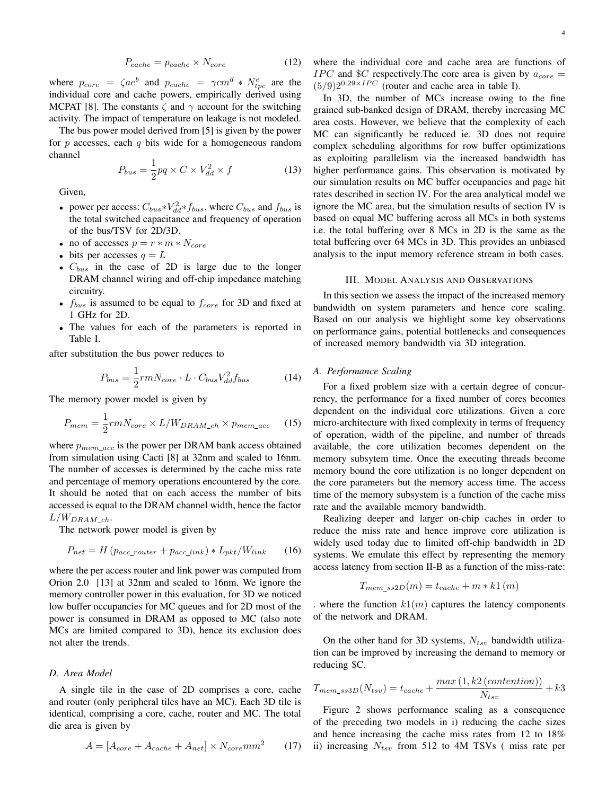$$
P_{cache} = p_{cache} \times N_{core} \tag{12}
$$

where  $p_{core} = \zeta a e^b$  and  $p_{cache} = \gamma cm^d * N_{tpc}^e$  are the individual core and cache powers, empirically derived using MCPAT [8]. The constants  $\zeta$  and  $\gamma$  account for the switching activity. The impact of temperature on leakage is not modeled.

The bus power model derived from [5] is given by the power for  $p$  accesses, each  $q$  bits wide for a homogeneous random channel

$$
P_{bus} = \frac{1}{2}pq \times C \times V_{dd}^2 \times f \tag{13}
$$

Given,

- power per access:  $C_{bus} * V_{dd}^2 * f_{bus}$ , where  $C_{bus}$  and  $f_{bus}$  is the total switched capacitance and frequency of operation of the bus/TSV for 2D/3D.
- no of accesses  $p = r * m * N_{core}$
- bits per accesses  $q = L$
- $C_{bus}$  in the case of 2D is large due to the longer DRAM channel wiring and off-chip impedance matching circuitry.
- $f_{bus}$  is assumed to be equal to  $f_{core}$  for 3D and fixed at 1 GHz for 2D.
- The values for each of the parameters is reported in Table I.

after substitution the bus power reduces to

$$
P_{bus} = \frac{1}{2} r m N_{core} \cdot L \cdot C_{bus} V_{dd}^2 f_{bus}
$$
 (14)

The memory power model is given by

$$
P_{mem} = \frac{1}{2} r m N_{core} \times L / W_{DRAM\_ch} \times p_{mem\_acc}
$$
 (15)

where  $p_{mem\_acc}$  is the power per DRAM bank access obtained from simulation using Cacti [8] at 32nm and scaled to 16nm. The number of accesses is determined by the cache miss rate and percentage of memory operations encountered by the core. It should be noted that on each access the number of bits accessed is equal to the DRAM channel width, hence the factor  $L/W_{DRAM \; ch}.$ 

The network power model is given by

$$
P_{net} = H \left( p_{acc\_router} + p_{acc\_link} \right) * L_{pkt} / W_{link} \tag{16}
$$

where the per access router and link power was computed from Orion 2.0 [13] at 32nm and scaled to 16nm. We ignore the memory controller power in this evaluation, for 3D we noticed low buffer occupancies for MC queues and for 2D most of the power is consumed in DRAM as opposed to MC (also note MCs are limited compared to 3D), hence its exclusion does not alter the trends.

# *D. Area Model*

A single tile in the case of 2D comprises a core, cache and router (only peripheral tiles have an MC). Each 3D tile is identical, comprising a core, cache, router and MC. The total die area is given by

$$
A = [A_{core} + A_{cache} + A_{net}] \times N_{core} mm^{2}
$$
 (17)

where the individual core and cache area are functions of *IPC* and \$*C* respectively. The core area is given by  $a_{core} =$  $(5/9)2^{0.29 \times IPC}$  (router and cache area in table I).

In 3D, the number of MCs increase owing to the fine grained sub-banked design of DRAM, thereby increasing MC area costs. However, we believe that the complexity of each MC can significantly be reduced ie. 3D does not require complex scheduling algorithms for row buffer optimizations as exploiting parallelism via the increased bandwidth has higher performance gains. This observation is motivated by our simulation results on MC buffer occupancies and page hit rates described in section IV. For the area analytical model we ignore the MC area, but the simulation results of section IV is based on equal MC buffering across all MCs in both systems i.e. the total buffering over 8 MCs in 2D is the same as the total buffering over 64 MCs in 3D. This provides an unbiased analysis to the input memory reference stream in both cases.

#### III. MODEL ANALYSIS AND OBSERVATIONS

In this section we assess the impact of the increased memory bandwidth on system parameters and hence core scaling. Based on our analysis we highlight some key observations on performance gains, potential bottlenecks and consequences of increased memory bandwidth via 3D integration.

# *A. Performance Scaling*

For a fixed problem size with a certain degree of concurrency, the performance for a fixed number of cores becomes dependent on the individual core utilizations. Given a core micro-architecture with fixed complexity in terms of frequency of operation, width of the pipeline, and number of threads available, the core utilization becomes dependent on the memory subsytem time. Once the executing threads become memory bound the core utilization is no longer dependent on the core parameters but the memory access time. The access time of the memory subsystem is a function of the cache miss rate and the available memory bandwidth.

Realizing deeper and larger on-chip caches in order to reduce the miss rate and hence improve core utilization is widely used today due to limited off-chip bandwidth in 2D systems. We emulate this effect by representing the memory access latency from section II-B as a function of the miss-rate:

$$
T_{mem\_ss2D}(m) = t_{cache} + m * k1(m)
$$

. where the function  $k1(m)$  captures the latency components of the network and DRAM.

On the other hand for 3D systems,  $N_{tsv}$  bandwidth utilization can be improved by increasing the demand to memory or reducing \$C.

$$
T_{mem\_ss3D}(N_{tsv}) = t_{cache} + \frac{max(1, k2 (contention))}{N_{tsv}} + k3
$$

Figure 2 shows performance scaling as a consequence of the preceding two models in i) reducing the cache sizes and hence increasing the cache miss rates from 12 to 18% ii) increasing  $N_{tsv}$  from 512 to 4M TSVs (miss rate per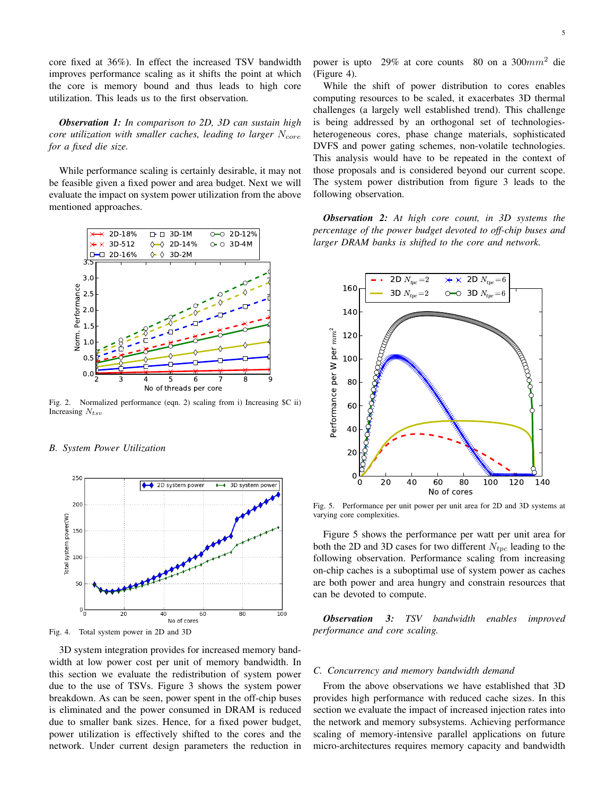core fixed at 36%). In effect the increased TSV bandwidth improves performance scaling as it shifts the point at which the core is memory bound and thus leads to high core utilization. This leads us to the first observation.

*Observation 1: In comparison to 2D, 3D can sustain high core utilization with smaller caches, leading to larger*  $N_{core}$ *for a fixed die size.*

While performance scaling is certainly desirable, it may not be feasible given a fixed power and area budget. Next we will evaluate the impact on system power utilization from the above mentioned approaches.



Fig. 2. Normalized performance (eqn. 2) scaling from i) Increasing \$C ii) Increasing  $N_{tsv}$ 

# *B. System Power Utilization*



Fig. 4. Total system power in 2D and 3D

3D system integration provides for increased memory bandwidth at low power cost per unit of memory bandwidth. In this section we evaluate the redistribution of system power due to the use of TSVs. Figure 3 shows the system power breakdown. As can be seen, power spent in the off-chip buses is eliminated and the power consumed in DRAM is reduced due to smaller bank sizes. Hence, for a fixed power budget, power utilization is effectively shifted to the cores and the network. Under current design parameters the reduction in power is upto 29% at core counts 80 on a 300 $mm^2$  die (Figure 4).

While the shift of power distribution to cores enables computing resources to be scaled, it exacerbates 3D thermal challenges (a largely well established trend). This challenge is being addressed by an orthogonal set of technologiesheterogeneous cores, phase change materials, sophisticated DVFS and power gating schemes, non-volatile technologies. This analysis would have to be repeated in the context of those proposals and is considered beyond our current scope. The system power distribution from figure 3 leads to the following observation.

*Observation 2: At high core count, in 3D systems the percentage of the power budget devoted to off-chip buses and larger DRAM banks is shifted to the core and network.*



Fig. 5. Performance per unit power per unit area for 2D and 3D systems at varying core complexities.

Figure 5 shows the performance per watt per unit area for both the 2D and 3D cases for two different  $N_{tpc}$  leading to the following observation. Performance scaling from increasing on-chip caches is a suboptimal use of system power as caches are both power and area hungry and constrain resources that can be devoted to compute.

*Observation 3: TSV bandwidth enables improved performance and core scaling.*

# *C. Concurrency and memory bandwidth demand*

From the above observations we have established that 3D provides high performance with reduced cache sizes. In this section we evaluate the impact of increased injection rates into the network and memory subsystems. Achieving performance scaling of memory-intensive parallel applications on future micro-architectures requires memory capacity and bandwidth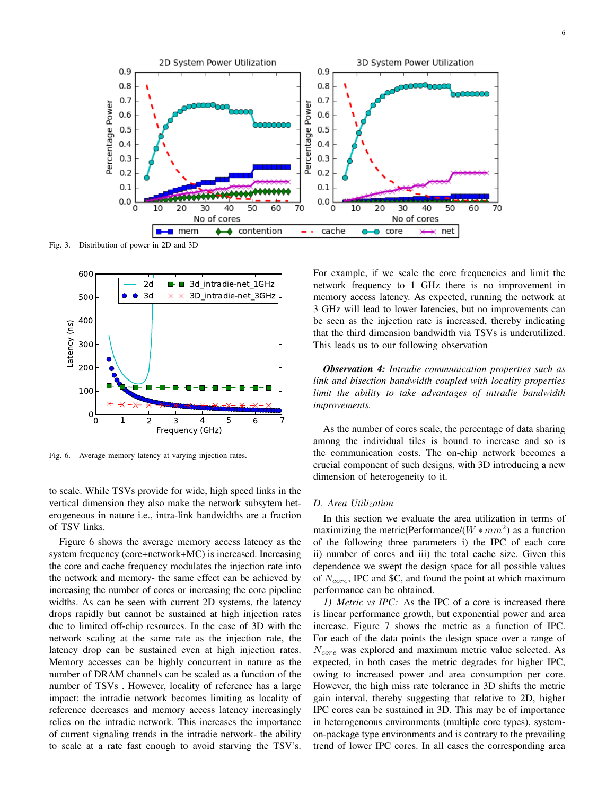

Fig. 3. Distribution of power in 2D and 3D



Fig. 6. Average memory latency at varying injection rates.

to scale. While TSVs provide for wide, high speed links in the vertical dimension they also make the network subsytem heterogeneous in nature i.e., intra-link bandwidths are a fraction of TSV links.

Figure 6 shows the average memory access latency as the system frequency (core+network+MC) is increased. Increasing the core and cache frequency modulates the injection rate into the network and memory- the same effect can be achieved by increasing the number of cores or increasing the core pipeline widths. As can be seen with current 2D systems, the latency drops rapidly but cannot be sustained at high injection rates due to limited off-chip resources. In the case of 3D with the network scaling at the same rate as the injection rate, the latency drop can be sustained even at high injection rates. Memory accesses can be highly concurrent in nature as the number of DRAM channels can be scaled as a function of the number of TSVs . However, locality of reference has a large impact: the intradie network becomes limiting as locality of reference decreases and memory access latency increasingly relies on the intradie network. This increases the importance of current signaling trends in the intradie network- the ability to scale at a rate fast enough to avoid starving the TSV's. For example, if we scale the core frequencies and limit the network frequency to 1 GHz there is no improvement in memory access latency. As expected, running the network at 3 GHz will lead to lower latencies, but no improvements can be seen as the injection rate is increased, thereby indicating that the third dimension bandwidth via TSVs is underutilized. This leads us to our following observation

*Observation 4: Intradie communication properties such as link and bisection bandwidth coupled with locality properties limit the ability to take advantages of intradie bandwidth improvements.*

As the number of cores scale, the percentage of data sharing among the individual tiles is bound to increase and so is the communication costs. The on-chip network becomes a crucial component of such designs, with 3D introducing a new dimension of heterogeneity to it.

## *D. Area Utilization*

In this section we evaluate the area utilization in terms of maximizing the metric(Performance/( $W \ast mm^2$ ) as a function of the following three parameters i) the IPC of each core ii) number of cores and iii) the total cache size. Given this dependence we swept the design space for all possible values of  $N_{core}$ , IPC and \$C, and found the point at which maximum performance can be obtained.

*1) Metric vs IPC:* As the IPC of a core is increased there is linear performance growth, but exponential power and area increase. Figure 7 shows the metric as a function of IPC. For each of the data points the design space over a range of  $N_{core}$  was explored and maximum metric value selected. As expected, in both cases the metric degrades for higher IPC, owing to increased power and area consumption per core. However, the high miss rate tolerance in 3D shifts the metric gain interval, thereby suggesting that relative to 2D, higher IPC cores can be sustained in 3D. This may be of importance in heterogeneous environments (multiple core types), systemon-package type environments and is contrary to the prevailing trend of lower IPC cores. In all cases the corresponding area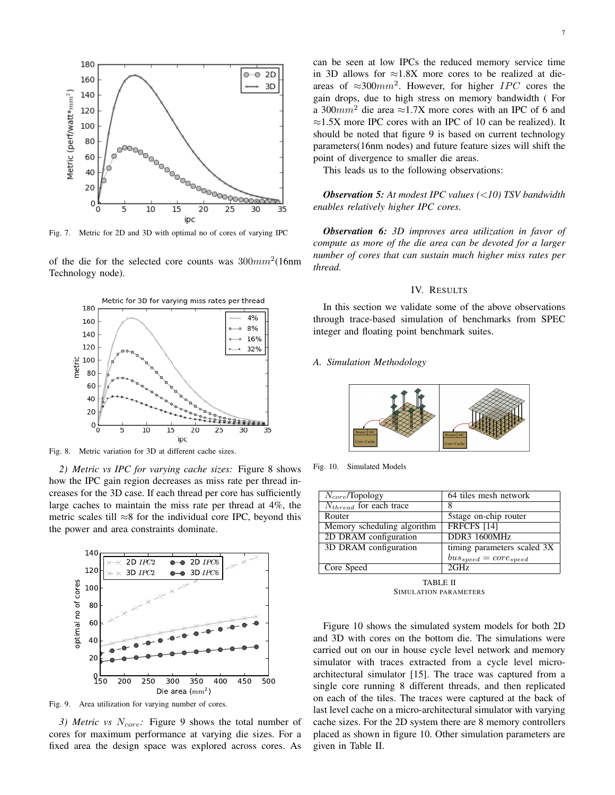

Fig. 7. Metric for 2D and 3D with optimal no of cores of varying IPC

of the die for the selected core counts was  $300mm^2(16nm)$ Technology node).



Fig. 8. Metric variation for 3D at different cache sizes.

*2) Metric vs IPC for varying cache sizes:* Figure 8 shows how the IPC gain region decreases as miss rate per thread increases for the 3D case. If each thread per core has sufficiently large caches to maintain the miss rate per thread at 4%, the metric scales till  $\approx 8$  for the individual core IPC, beyond this the power and area constraints dominate.



Fig. 9. Area utilization for varying number of cores.

*3) Metric vs N<sub>core</sub>*: Figure 9 shows the total number of cores for maximum performance at varying die sizes. For a fixed area the design space was explored across cores. As

gain drops, due to high stress on memory bandwidth ( For a 300 $mm^2$  die area ≈1.7X more cores with an IPC of 6 and ≈1.5X more IPC cores with an IPC of 10 can be realized). It should be noted that figure 9 is based on current technology parameters(16nm nodes) and future feature sizes will shift the point of divergence to smaller die areas.

This leads us to the following observations:

*Observation 5: At modest IPC values (*<*10) TSV bandwidth enables relatively higher IPC cores.*

*Observation 6: 3D improves area utilization in favor of compute as more of the die area can be devoted for a larger number of cores that can sustain much higher miss rates per thread.*

## IV. RESULTS

In this section we validate some of the above observations through trace-based simulation of benchmarks from SPEC integer and floating point benchmark suites.

*A. Simulation Methodology*



Fig. 10. Simulated Models

| $N_{core}$ /Topology        | 64 tiles mesh network        |
|-----------------------------|------------------------------|
| $N_{thread}$ for each trace |                              |
| Router                      | 5 stage on-chip router       |
| Memory scheduling algorithm | <b>FRFCFS [14]</b>           |
| 2D DRAM configuration       | DDR3 1600MHz                 |
| 3D DRAM configuration       | timing parameters scaled 3X  |
|                             | $bus_{speed} = core_{speed}$ |
| Core Speed                  | 2GHz                         |

TABLE II SIMULATION PARAMETERS

Figure 10 shows the simulated system models for both 2D and 3D with cores on the bottom die. The simulations were carried out on our in house cycle level network and memory simulator with traces extracted from a cycle level microarchitectural simulator [15]. The trace was captured from a single core running 8 different threads, and then replicated on each of the tiles. The traces were captured at the back of last level cache on a micro-architectural simulator with varying cache sizes. For the 2D system there are 8 memory controllers placed as shown in figure 10. Other simulation parameters are given in Table II.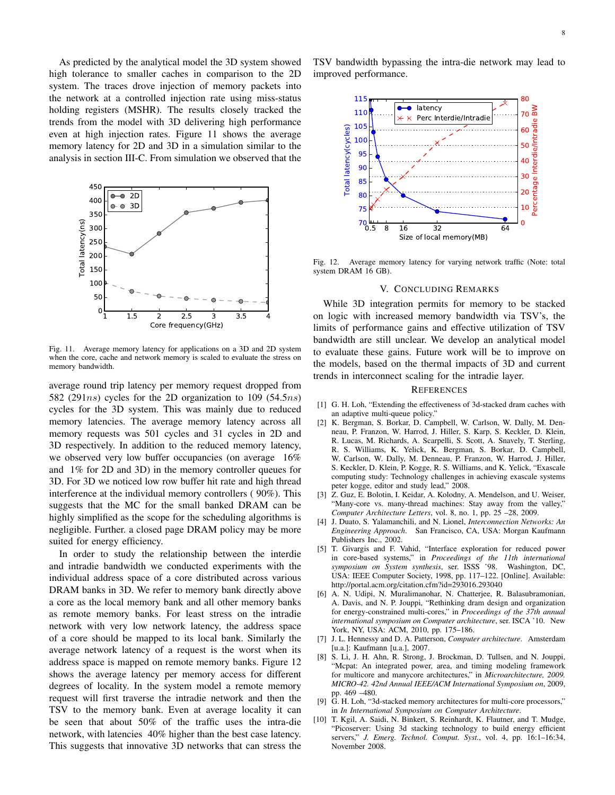As predicted by the analytical model the 3D system showed high tolerance to smaller caches in comparison to the 2D system. The traces drove injection of memory packets into the network at a controlled injection rate using miss-status holding registers (MSHR). The results closely tracked the trends from the model with 3D delivering high performance even at high injection rates. Figure 11 shows the average memory latency for 2D and 3D in a simulation similar to the analysis in section III-C. From simulation we observed that the



Fig. 11. Average memory latency for applications on a 3D and 2D system when the core, cache and network memory is scaled to evaluate the stress on memory bandwidth.

average round trip latency per memory request dropped from 582 (291 $ns$ ) cycles for the 2D organization to 109 (54.5 $ns$ ) cycles for the 3D system. This was mainly due to reduced memory latencies. The average memory latency across all memory requests was 501 cycles and 31 cycles in 2D and 3D respectively. In addition to the reduced memory latency, we observed very low buffer occupancies (on average 16% and 1% for 2D and 3D) in the memory controller queues for 3D. For 3D we noticed low row buffer hit rate and high thread interference at the individual memory controllers ( 90%). This suggests that the MC for the small banked DRAM can be highly simplified as the scope for the scheduling algorithms is negligible. Further. a closed page DRAM policy may be more suited for energy efficiency.

In order to study the relationship between the interdie and intradie bandwidth we conducted experiments with the individual address space of a core distributed across various DRAM banks in 3D. We refer to memory bank directly above a core as the local memory bank and all other memory banks as remote memory banks. For least stress on the intradie network with very low network latency, the address space of a core should be mapped to its local bank. Similarly the average network latency of a request is the worst when its address space is mapped on remote memory banks. Figure 12 shows the average latency per memory access for different degrees of locality. In the system model a remote memory request will first traverse the intradie network and then the TSV to the memory bank. Even at average locality it can be seen that about 50% of the traffic uses the intra-die network, with latencies 40% higher than the best case latency. This suggests that innovative 3D networks that can stress the

TSV bandwidth bypassing the intra-die network may lead to improved performance.



Fig. 12. Average memory latency for varying network traffic (Note: total system DRAM 16 GB).

# V. CONCLUDING REMARKS

While 3D integration permits for memory to be stacked on logic with increased memory bandwidth via TSV's, the limits of performance gains and effective utilization of TSV bandwidth are still unclear. We develop an analytical model to evaluate these gains. Future work will be to improve on the models, based on the thermal impacts of 3D and current trends in interconnect scaling for the intradie layer.

# **REFERENCES**

- [1] G. H. Loh, "Extending the effectiveness of 3d-stacked dram caches with an adaptive multi-queue policy."
- [2] K. Bergman, S. Borkar, D. Campbell, W. Carlson, W. Dally, M. Denneau, P. Franzon, W. Harrod, J. Hiller, S. Karp, S. Keckler, D. Klein, R. Lucas, M. Richards, A. Scarpelli, S. Scott, A. Snavely, T. Sterling, R. S. Williams, K. Yelick, K. Bergman, S. Borkar, D. Campbell, W. Carlson, W. Dally, M. Denneau, P. Franzon, W. Harrod, J. Hiller, S. Keckler, D. Klein, P. Kogge, R. S. Williams, and K. Yelick, "Exascale computing study: Technology challenges in achieving exascale systems peter kogge, editor and study lead," 2008.
- [3] Z. Guz, E. Bolotin, I. Keidar, A. Kolodny, A. Mendelson, and U. Weiser, "Many-core vs. many-thread machines: Stay away from the valley," *Computer Architecture Letters*, vol. 8, no. 1, pp. 25 –28, 2009.
- [4] J. Duato, S. Yalamanchili, and N. Lionel, *Interconnection Networks: An Engineering Approach*. San Francisco, CA, USA: Morgan Kaufmann Publishers Inc., 2002.
- [5] T. Givargis and F. Vahid, "Interface exploration for reduced power in core-based systems," in *Proceedings of the 11th international symposium on System synthesis*, ser. ISSS '98. Washington, DC, USA: IEEE Computer Society, 1998, pp. 117–122. [Online]. Available: http://portal.acm.org/citation.cfm?id=293016.293040
- [6] A. N. Udipi, N. Muralimanohar, N. Chatterjee, R. Balasubramonian, A. Davis, and N. P. Jouppi, "Rethinking dram design and organization for energy-constrained multi-cores," in *Proceedings of the 37th annual international symposium on Computer architecture*, ser. ISCA '10. New York, NY, USA: ACM, 2010, pp. 175–186.
- [7] J. L. Hennessy and D. A. Patterson, *Computer architecture*. Amsterdam [u.a.]: Kaufmann [u.a.], 2007.
- [8] S. Li, J. H. Ahn, R. Strong, J. Brockman, D. Tullsen, and N. Jouppi, "Mcpat: An integrated power, area, and timing modeling framework for multicore and manycore architectures," in *Microarchitecture, 2009. MICRO-42. 42nd Annual IEEE/ACM International Symposium on*, 2009, pp. 469 –480.
- [9] G. H. Loh, "3d-stacked memory architectures for multi-core processors," in *In International Symposium on Computer Architecture*.
- [10] T. Kgil, A. Saidi, N. Binkert, S. Reinhardt, K. Flautner, and T. Mudge, "Picoserver: Using 3d stacking technology to build energy efficient servers," *J. Emerg. Technol. Comput. Syst.*, vol. 4, pp. 16:1–16:34, November 2008.